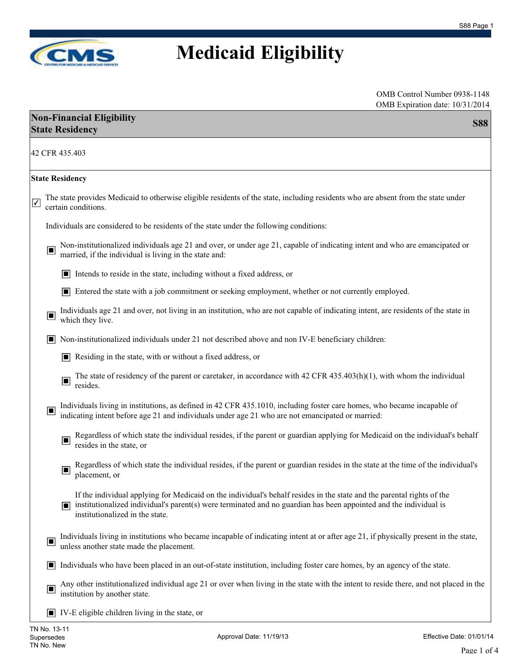

| OMB Control Number 0938-1148    |  |
|---------------------------------|--|
| OMB Expiration date: 10/31/2014 |  |

| $O(N1D)$ Expiration date: $10/31/201$<br><b>Non-Financial Eligibility</b><br><b>State Residency</b>                                                                                                                                                                                 | <b>S88</b> |
|-------------------------------------------------------------------------------------------------------------------------------------------------------------------------------------------------------------------------------------------------------------------------------------|------------|
| 42 CFR 435.403                                                                                                                                                                                                                                                                      |            |
| <b>State Residency</b>                                                                                                                                                                                                                                                              |            |
| The state provides Medicaid to otherwise eligible residents of the state, including residents who are absent from the state under<br>$\overline{\mathbf{v}}$<br>certain conditions.                                                                                                 |            |
| Individuals are considered to be residents of the state under the following conditions:                                                                                                                                                                                             |            |
| Non-institutionalized individuals age 21 and over, or under age 21, capable of indicating intent and who are emancipated or<br>$\Box$<br>married, if the individual is living in the state and:                                                                                     |            |
| Intends to reside in the state, including without a fixed address, or<br>□                                                                                                                                                                                                          |            |
| Entered the state with a job commitment or seeking employment, whether or not currently employed.<br>o                                                                                                                                                                              |            |
| Individuals age 21 and over, not living in an institution, who are not capable of indicating intent, are residents of the state in<br>Q<br>which they live.                                                                                                                         |            |
| Non-institutionalized individuals under 21 not described above and non IV-E beneficiary children:<br>о                                                                                                                                                                              |            |
| Residing in the state, with or without a fixed address, or                                                                                                                                                                                                                          |            |
| The state of residency of the parent or caretaker, in accordance with $42$ CFR $435.403(h)(1)$ , with whom the individual<br>$\Box$<br>resides.                                                                                                                                     |            |
| Individuals living in institutions, as defined in 42 CFR 435.1010, including foster care homes, who became incapable of<br>Ē<br>indicating intent before age 21 and individuals under age 21 who are not emancipated or married:                                                    |            |
| Regardless of which state the individual resides, if the parent or guardian applying for Medicaid on the individual's behalf<br>$\Box$<br>resides in the state, or                                                                                                                  |            |
| Regardless of which state the individual resides, if the parent or guardian resides in the state at the time of the individual's<br>$\Box$<br>placement, or                                                                                                                         |            |
| If the individual applying for Medicaid on the individual's behalf resides in the state and the parental rights of the<br>institutionalized individual's parent(s) were terminated and no guardian has been appointed and the individual is<br>H<br>institutionalized in the state. |            |
| Individuals living in institutions who became incapable of indicating intent at or after age 21, if physically present in the state,<br>$\Box$<br>unless another state made the placement.                                                                                          |            |
| Individuals who have been placed in an out-of-state institution, including foster care homes, by an agency of the state.<br>П                                                                                                                                                       |            |
| Any other institutionalized individual age 21 or over when living in the state with the intent to reside there, and not placed in the<br>$\blacksquare$<br>institution by another state.                                                                                            |            |
| $\blacksquare$ IV-E eligible children living in the state, or                                                                                                                                                                                                                       |            |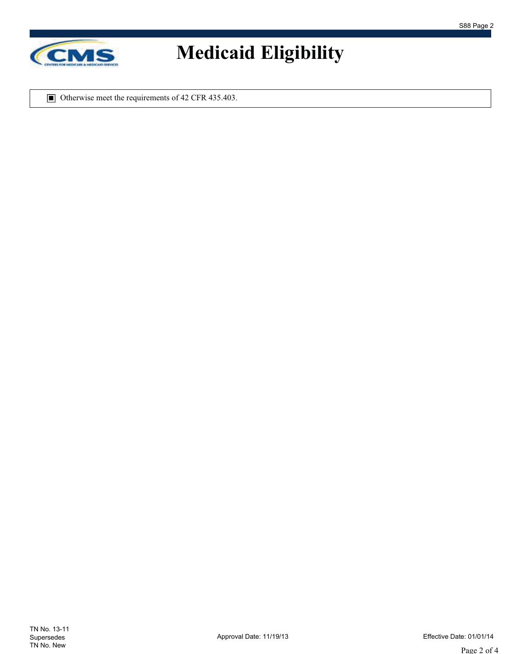

■ Otherwise meet the requirements of 42 CFR 435.403.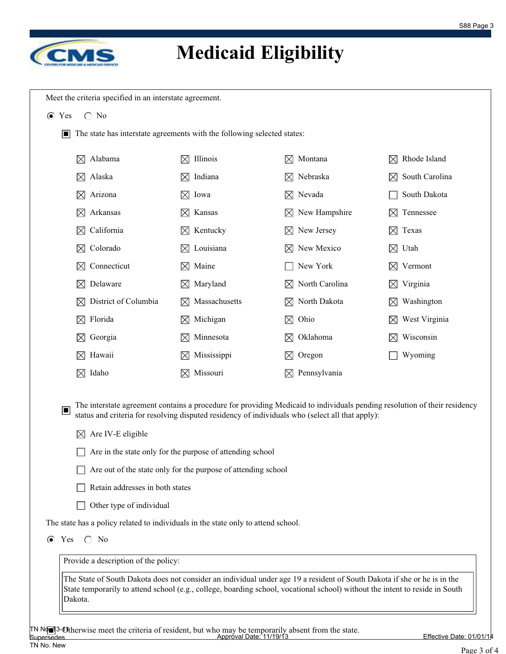

| Alabama                                                                                                   | Illinois                                                                                                                   | Montana                                                                                          | Rhode Island   |
|-----------------------------------------------------------------------------------------------------------|----------------------------------------------------------------------------------------------------------------------------|--------------------------------------------------------------------------------------------------|----------------|
| $\bowtie$                                                                                                 | $\boxtimes$                                                                                                                | IXI                                                                                              | IХI            |
| Alaska                                                                                                    | Indiana                                                                                                                    | $\boxtimes$ Nebraska                                                                             | South Carolina |
| $\boxtimes$                                                                                               | $\boxtimes$                                                                                                                |                                                                                                  | $\boxtimes$    |
| Arizona<br>$\boxtimes$                                                                                    | $\boxtimes$ Iowa                                                                                                           | $\boxtimes$ Nevada                                                                               | South Dakota   |
| Arkansas                                                                                                  | Kansas                                                                                                                     | $\boxtimes$ New Hampshire                                                                        | Tennessee      |
| $\boxtimes$                                                                                               | $\bowtie$                                                                                                                  |                                                                                                  | IХI            |
| California                                                                                                | Kentucky                                                                                                                   | New Jersey                                                                                       | Texas          |
| $\boxtimes$                                                                                               | $\bowtie$                                                                                                                  | IХI                                                                                              | $\bowtie$      |
| Colorado                                                                                                  | Louisiana                                                                                                                  | New Mexico                                                                                       | Utah           |
| $\boxtimes$                                                                                               | $\bowtie$                                                                                                                  |                                                                                                  | $\boxtimes$    |
| Connecticut                                                                                               | Maine                                                                                                                      | New York                                                                                         | Vermont        |
| $\boxtimes$                                                                                               | $\boxtimes$                                                                                                                |                                                                                                  | 区              |
| Delaware                                                                                                  | Maryland                                                                                                                   | North Carolina                                                                                   | Virginia       |
| ⊠                                                                                                         | $\boxtimes$                                                                                                                | $\boxtimes$                                                                                      | $\boxtimes$    |
| District of Columbia                                                                                      | Massachusetts                                                                                                              | North Dakota                                                                                     | Washington     |
| $\bowtie$                                                                                                 | M                                                                                                                          | IХI                                                                                              | ᢂ              |
| $\boxtimes$ Florida                                                                                       | Michigan<br>$\boxtimes$                                                                                                    | Ohio<br>$\boxtimes$                                                                              | West Virginia  |
| Georgia                                                                                                   | Minnesota                                                                                                                  | Oklahoma                                                                                         | Wisconsin      |
| $\bowtie$                                                                                                 | $\boxtimes$                                                                                                                | IХI                                                                                              |                |
| Hawaii                                                                                                    | Mississippi                                                                                                                | Oregon                                                                                           | Wyoming        |
| $\boxtimes$                                                                                               | $\bowtie$                                                                                                                  | $\bowtie$                                                                                        |                |
| $\boxtimes$ Idaho                                                                                         | Missouri<br>$\boxtimes$                                                                                                    | Pennsylvania<br>$\boxtimes$                                                                      |                |
|                                                                                                           | The interstate agreement contains a procedure for providing Medicaid to individuals pending resolution of their residency  |                                                                                                  |                |
| $\Box$<br>Are IV-E eligible<br>$\bowtie$<br>Retain addresses in both states<br>Other type of individual   | Are in the state only for the purpose of attending school<br>Are out of the state only for the purpose of attending school | status and criteria for resolving disputed residency of individuals who (select all that apply): |                |
| The state has a policy related to individuals in the state only to attend school.<br>$\bigcirc$ No<br>Yes |                                                                                                                            |                                                                                                  |                |